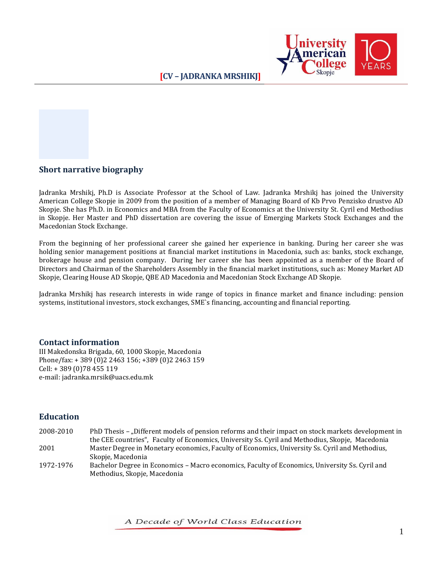



## **Short narrative biography**

Jadranka Mrshikj, Ph.D is Associate Professor at the School of Law. Jadranka Mrshikj has joined the University American College Skopje in 2009 from the position of a member of Managing Board of Kb Prvo Penzisko drustvo AD Skopje. She has Ph.D. in Economics and MBA from the Faculty of Economics at the University St. Cyril end Methodius in Skopje. Her Master and PhD dissertation are covering the issue of Emerging Markets Stock Exchanges and the Macedonian Stock Exchange.

From the beginning of her professional career she gained her experience in banking. During her career she was holding senior management positions at financial market institutions in Macedonia, such as: banks, stock exchange, brokerage house and pension company. During her career she has been appointed as a member of the Board of Directors and Chairman of the Shareholders Assembly in the financial market institutions, such as: Money Market AD Skopje, Clearing House AD Skopje, QBE AD Macedonia and Macedonian Stock Exchange AD Skopje.

Jadranka Mrshikj has research interests in wide range of topics in finance market and finance including: pension systems, institutional investors, stock exchanges, SME`s financing, accounting and financial reporting.

## **Contact information**

III Makedonska Brigada, 60, 1000 Skopje, Macedonia Phone/fax: + 389 (0)2 2463 156; +389 (0)2 2463 159 Cell: [+ 389 \(0\)78](tel:%2B%20389%20%280%2975%20338%20383) 455 119 e-mail: jadranka.mrsik@uacs.edu.mk

# **Education**

- 2008-2010 PhD Thesis "Different models of pension reforms and their impact on stock markets development in the CEE countries", Faculty of Economics, University Ss. Cyril and Methodius, Skopje, Macedonia 2001 Master Degree in Monetary economics, Faculty of Economics, University Ss. Cyril and Methodius, Skopje, Macedonia
- 1972-1976 Bachelor Degree in Economics Macro economics, Faculty of Economics, University Ss. Cyril and Methodius, Skopje, Macedonia

A Decade of World Class Education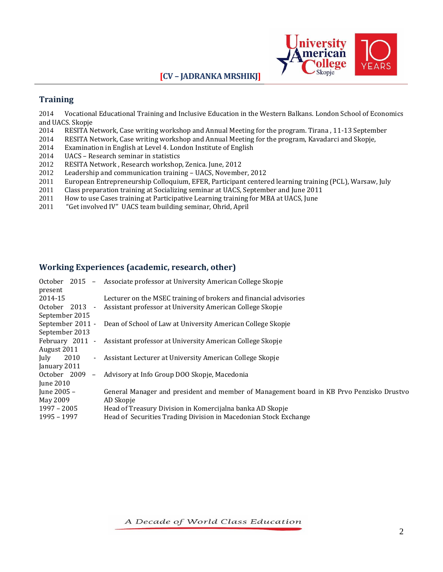# **[CV – JADRANKA MRSHIKJ]**



# **Training**

2014 Vocational Educational Training and Inclusive Education in the Western Balkans. London School of Economics and UACS. Skopje

- 2014 RESITA Network, Case writing workshop and Annual Meeting for the program. Tirana , 11-13 September
- 2014 RESITA Network, Case writing workshop and Annual Meeting for the program, Kavadarci and Skopje,
- 2014 Examination in English at Level 4. London Institute of English
- 2014 UACS Research seminar in statistics
- 2012 RESITA Network , Research workshop, Zenica. June, 2012
- 2012 Leadership and communication training UACS, November, 2012
- 2011 European Entrepreneurship Colloquium, EFER, Participant centered learning training (PCL), Warsaw, July
- 2011 Class preparation training at Socializing seminar at UACS, September and June 2011
- 2011 How to use Cases training at Participative Learning training for MBA at UACS, June
- 2011 "Get involved IV" UACS team building seminar, Ohrid, April

#### **Working Experiences (academic, research, other)**

| October $2015 -$<br>present              | Associate professor at University American College Skopje                                |
|------------------------------------------|------------------------------------------------------------------------------------------|
| 2014-15                                  | Lecturer on the MSEC training of brokers and financial advisories                        |
| October 2013<br>$\sim$                   | Assistant professor at University American College Skopje                                |
| September 2015                           |                                                                                          |
| September 2011 -                         | Dean of School of Law at University American College Skopje                              |
| September 2013                           |                                                                                          |
| February 2011 -                          | Assistant professor at University American College Skopje                                |
| August 2011                              |                                                                                          |
| 2010<br>July<br>$\blacksquare$           | Assistant Lecturer at University American College Skopje                                 |
| January 2011                             |                                                                                          |
| October 2009<br>$\overline{\phantom{a}}$ | Advisory at Info Group DOO Skopje, Macedonia                                             |
| <b>Iune 2010</b>                         |                                                                                          |
| June 2005 –                              | General Manager and president and member of Management board in KB Prvo Penzisko Drustvo |
| May 2009                                 | AD Skopje                                                                                |
| $1997 - 2005$                            | Head of Treasury Division in Komercijalna banka AD Skopje                                |
| 1995 - 1997                              | Head of Securities Trading Division in Macedonian Stock Exchange                         |

A Decade of World Class Education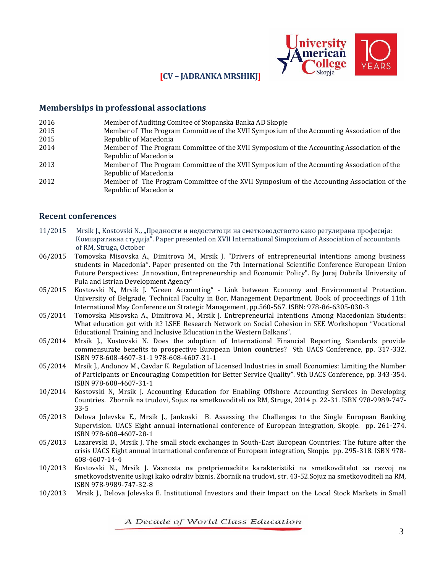

#### **[CV – JADRANKA MRSHIKJ]**

#### **Memberships in professional associations**

| 2016 | Member of Auditing Comitee of Stopanska Banka AD Skopje |  |
|------|---------------------------------------------------------|--|
|------|---------------------------------------------------------|--|

- 2015 2015 Member of The Program Committee of the XVII Symposium of the Accounting Association of the Republic of Macedonia
- 2014 Member of The Program Committee of the XVII Symposium of the Accounting Association of the Republic of Macedonia
- 2013 Member of The Program Committee of the XVII Symposium of the Accounting Association of the Republic of Macedonia
- 2012 Member of The Program Committee of the XVII Symposium of the Accounting Association of the Republic of Macedonia

#### **Recent conferences**

- 11/2015 Mrsik J., Kostovski N., "Предности и недостатоци на сметководството како регулирана професија: Компаративна студија". Paper presented on XVII International Simpozium of Association of accountants of RM, Struga, October
- 06/2015 Tomovska Misovska A., Dimitrova M., Mrsik J. "Drivers of entrepreneurial intentions among business students in Macedonia". Paper presented on the 7th International Scientific Conference European Union Future Perspectives: "Innovation, Entrepreneurship and Economic Policy". By Juraj Dobrila University of Pula and Istrian Development Agency"
- 05/2015 Kostovski N., Mrsik J. "Green Accounting" Link between Economy and Environmental Protection. University of Belgrade, Technical Faculty in Bor, Management Department. Book of proceedings of 11th International May Conference on Strategic Management, pp.560-567. ISBN: 978-86-6305-030-3
- 05/2014 Tomovska Misovska A., Dimitrova M., Mrsik J. Entrepreneurial Intentions Among Macedonian Students: What education got with it? LSEE Research Network on Social Cohesion in SEE Workshopon "Vocational Educational Training and Inclusive Education in the Western Balkans".
- 05/2014 Mrsik J., Kostovski N. Does the adoption of International Financial Reporting Standards provide commensurate benefits to prospective European Union countries? 9th UACS Conference, pp. 317-332. ISBN 978-608-4607-31-1 978-608-4607-31-1
- 05/2014 Mrsik J., Andonov M., Cavdar K. Regulation of Licensed Industries in small Economies: Limiting the Number of Participants or Encouraging Competition for Better Service Quality". 9th UACS Conference, pp. 343-354. ISBN 978-608-4607-31-1
- 10/2014 Kostovski N, Mrsik J. Accounting Education for Enabling Offshore Accounting Services in Developing Countries. Zbornik na trudovi, Sojuz na smetkovoditeli na RM, Struga, 2014 p. 22-31. ISBN 978-9989-747- 33-5
- 05/2013 Delova Jolevska E., Mrsik J., Jankoski B. Assessing the Challenges to the Single European Banking Supervision. UACS Eight annual international conference of European integration, Skopje. pp. 261-274. ISBN 978-608-4607-28-1
- 05/2013 Lazarevski D., Mrsik J. The small stock exchanges in South-East European Countries: The future after the crisis UACS Eight annual international conference of European integration, Skopje. pp. 295-318. ISBN 978- 608-4607-14-4
- 10/2013 Kostovski N., Mrsik J. Vaznosta na pretpriemackite karakteristiki na smetkovditelot za razvoj na smetkovodstvenite uslugi kako odrzliv biznis. Zbornik na trudovi, str. 43-52.Sojuz na smetkovoditeli na RM, ISBN 978-9989-747-32-8
- 10/2013 Mrsik J., Delova Jolevska E. Institutional Investors and their Impact on the Local Stock Markets in Small

A Decade of World Class Education